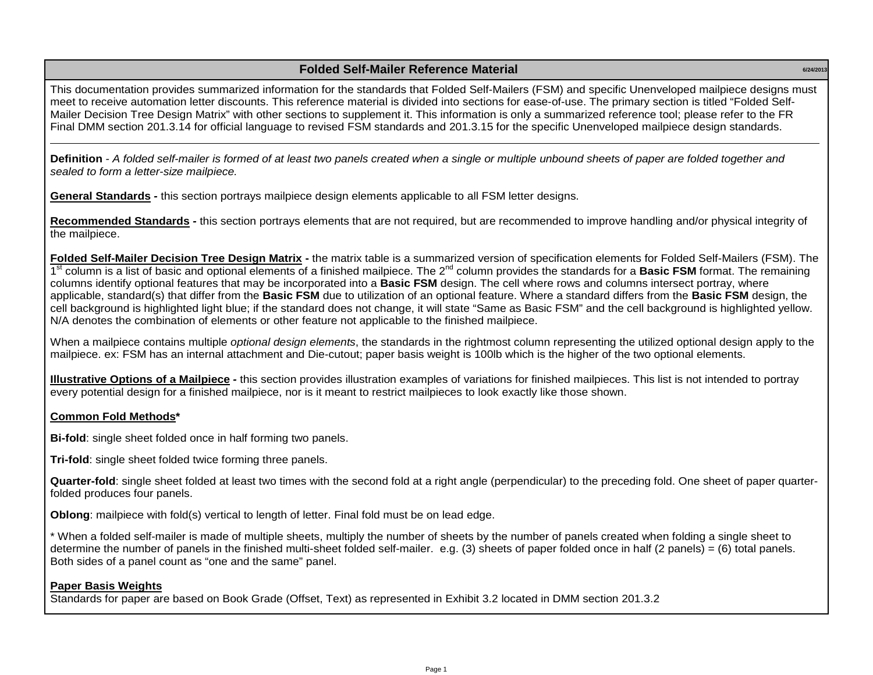## **6/24/2013 Folded Self-Mailer Reference Material**

This documentation provides summarized information for the standards that Folded Self-Mailers (FSM) and specific Unenveloped mailpiece designs must meet to receive automation letter discounts. This reference material is divided into sections for ease-of-use. The primary section is titled "Folded Self-Mailer Decision Tree Design Matrix" with other sections to supplement it. This information is only a summarized reference tool; please refer to the FR Final DMM section 201.3.14 for official language to revised FSM standards and 201.3.15 for the specific Unenveloped mailpiece design standards.

**Definition** *- A folded self-mailer is formed of at least two panels created when a single or multiple unbound sheets of paper are folded together and sealed to form a letter-size mailpiece.*

**General Standards** *-* this section portrays mailpiece design elements applicable to all FSM letter designs.

**Recommended Standards** *-* this section portrays elements that are not required, but are recommended to improve handling and/or physical integrity of the mailpiece.

**Folded Self-Mailer Decision Tree Design Matrix -** the matrix table is a summarized version of specification elements for Folded Self-Mailers (FSM). The 1<sup>st</sup> column is a list of basic and optional elements of a finished mailpiece. The 2<sup>nd</sup> column provides the standards for a **Basic FSM** format. The remaining columns identify optional features that may be incorporated into a **Basic FSM** design. The cell where rows and columns intersect portray, where applicable, standard(s) that differ from the **Basic FSM** due to utilization of an optional feature. Where a standard differs from the **Basic FSM** design, the cell background is highlighted light blue; if the standard does not change, it will state "Same as Basic FSM" and the cell background is highlighted yellow. N/A denotes the combination of elements or other feature not applicable to the finished mailpiece.

When a mailpiece contains multiple *optional design elements*, the standards in the rightmost column representing the utilized optional design apply to the mailpiece. ex: FSM has an internal attachment and Die-cutout; paper basis weight is 100lb which is the higher of the two optional elements.

**Illustrative Options of a Mailpiece** *-* this section provides illustration examples of variations for finished mailpieces. This list is not intended to portray every potential design for a finished mailpiece, nor is it meant to restrict mailpieces to look exactly like those shown.

## **Common Fold Methods\***

**Bi-fold**: single sheet folded once in half forming two panels.

**Tri-fold**: single sheet folded twice forming three panels.

**Quarter-fold**: single sheet folded at least two times with the second fold at a right angle (perpendicular) to the preceding fold. One sheet of paper quarterfolded produces four panels.

**Oblong**: mailpiece with fold(s) vertical to length of letter. Final fold must be on lead edge.

\* When a folded self-mailer is made of multiple sheets, multiply the number of sheets by the number of panels created when folding a single sheet to determine the number of panels in the finished multi-sheet folded self-mailer. e.g. (3) sheets of paper folded once in half (2 panels) = (6) total panels. Both sides of a panel count as "one and the same" panel.

## **Paper Basis Weights**

Standards for paper are based on Book Grade (Offset, Text) as represented in Exhibit 3.2 located in DMM section 201.3.2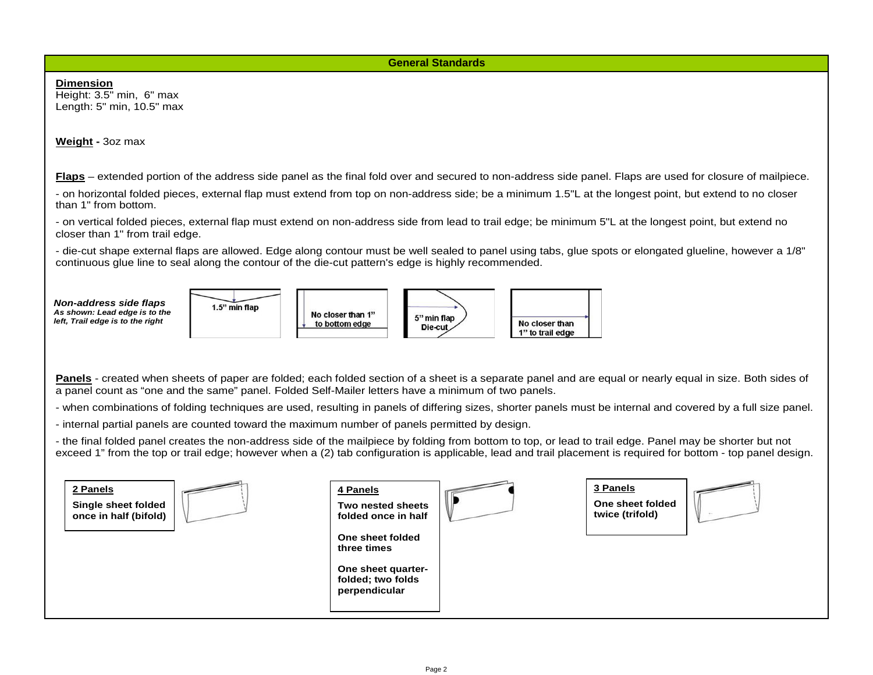**General Standards**

**Dimension** Height: 3.5" min, 6" max Length: 5" min, 10.5" max **Weight -** 3oz max **Flaps** – extended portion of the address side panel as the final fold over and secured to non-address side panel. Flaps are used for closure of mailpiece. - on horizontal folded pieces, external flap must extend from top on non-address side; be a minimum 1.5"L at the longest point, but extend to no closer than 1" from bottom. - on vertical folded pieces, external flap must extend on non-address side from lead to trail edge; be minimum 5"L at the longest point, but extend no closer than 1" from trail edge. - die-cut shape external flaps are allowed. Edge along contour must be well sealed to panel using tabs, glue spots or elongated glueline, however a 1/8" continuous glue line to seal along the contour of the die-cut pattern's edge is highly recommended. *Non-address side flaps* 1.5" min flap *As shown: Lead edge is to the*  No closer than 1" 5" min flap *left, Trail edge is to the right* to bottom edge No closer than Die-cut 1" to trail edge Panels - created when sheets of paper are folded; each folded section of a sheet is a separate panel and are equal or nearly equal in size. Both sides of a panel count as "one and the same" panel. Folded Self-Mailer letters have a minimum of two panels. - when combinations of folding techniques are used, resulting in panels of differing sizes, shorter panels must be internal and covered by a full size panel. - internal partial panels are counted toward the maximum number of panels permitted by design. - the final folded panel creates the non-address side of the mailpiece by folding from bottom to top, or lead to trail edge. Panel may be shorter but not exceed 1" from the top or trail edge; however when a (2) tab configuration is applicable, lead and trail placement is required for bottom - top panel design. **3 Panels 2 Panels 4 Panels One sheet folded Single sheet folded Two nested sheets twice (trifold) once in half (bifold) folded once in half One sheet folded three times One sheet quarterfolded; two folds perpendicular**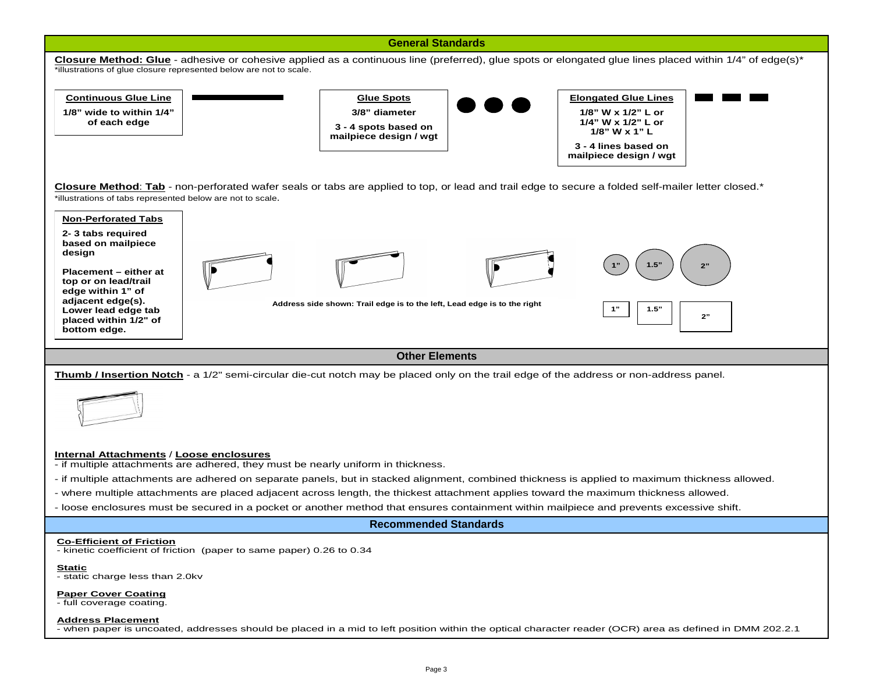

- when paper is uncoated, addresses should be placed in a mid to left position within the optical character reader (OCR) area as defined in DMM 202.2.1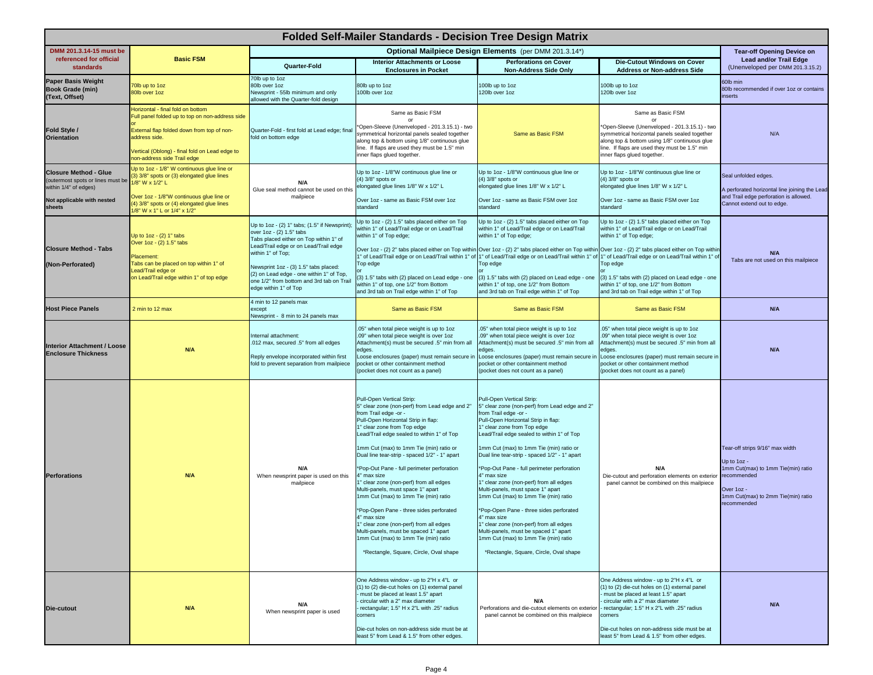| <b>Folded Self-Mailer Standards - Decision Tree Design Matrix</b>                                                                  |                                                                                                                                                                                                                                      |                                                                                                                                                                                                                                                                                                                                             |                                                                                                                                                                                                                                                                                                                                                                                                                                                                                                                                                                                                                                                                                                                                        |                                                                                                                                                                                                                                                                                                                                                                                                                                                                                                                                                                                                                                                                                                                                          |                                                                                                                                                                                                                                                                                                                                |                                                                                                                                                                        |
|------------------------------------------------------------------------------------------------------------------------------------|--------------------------------------------------------------------------------------------------------------------------------------------------------------------------------------------------------------------------------------|---------------------------------------------------------------------------------------------------------------------------------------------------------------------------------------------------------------------------------------------------------------------------------------------------------------------------------------------|----------------------------------------------------------------------------------------------------------------------------------------------------------------------------------------------------------------------------------------------------------------------------------------------------------------------------------------------------------------------------------------------------------------------------------------------------------------------------------------------------------------------------------------------------------------------------------------------------------------------------------------------------------------------------------------------------------------------------------------|------------------------------------------------------------------------------------------------------------------------------------------------------------------------------------------------------------------------------------------------------------------------------------------------------------------------------------------------------------------------------------------------------------------------------------------------------------------------------------------------------------------------------------------------------------------------------------------------------------------------------------------------------------------------------------------------------------------------------------------|--------------------------------------------------------------------------------------------------------------------------------------------------------------------------------------------------------------------------------------------------------------------------------------------------------------------------------|------------------------------------------------------------------------------------------------------------------------------------------------------------------------|
| DMM 201.3.14-15 must be                                                                                                            |                                                                                                                                                                                                                                      | Optional Mailpiece Design Elements (per DMM 201.3.14*)                                                                                                                                                                                                                                                                                      |                                                                                                                                                                                                                                                                                                                                                                                                                                                                                                                                                                                                                                                                                                                                        |                                                                                                                                                                                                                                                                                                                                                                                                                                                                                                                                                                                                                                                                                                                                          |                                                                                                                                                                                                                                                                                                                                | <b>Tear-off Opening Device on</b>                                                                                                                                      |
| referenced for official<br><b>standards</b>                                                                                        | <b>Basic FSM</b>                                                                                                                                                                                                                     | Quarter-Fold                                                                                                                                                                                                                                                                                                                                | <b>Interior Attachments or Loose</b><br><b>Enclosures in Pocket</b>                                                                                                                                                                                                                                                                                                                                                                                                                                                                                                                                                                                                                                                                    | <b>Perforations on Cover</b><br><b>Non-Address Side Only</b>                                                                                                                                                                                                                                                                                                                                                                                                                                                                                                                                                                                                                                                                             | <b>Die-Cutout Windows on Cover</b><br><b>Address or Non-address Side</b>                                                                                                                                                                                                                                                       | <b>Lead and/or Trail Edge</b><br>(Unenveloped per DMM 201.3.15.2)                                                                                                      |
| <b>Paper Basis Weight</b><br><b>Book Grade (min)</b><br>(Text, Offset)                                                             | 70lb up to 1oz<br>80lb over 1oz                                                                                                                                                                                                      | 70lb up to 1oz<br>80lb over 1oz<br>Newsprint - 55lb minimum and only<br>allowed with the Quarter-fold design                                                                                                                                                                                                                                | 80lb up to 1oz<br>100lb over 1oz                                                                                                                                                                                                                                                                                                                                                                                                                                                                                                                                                                                                                                                                                                       | 100lb up to 1oz<br>120lb over 1oz                                                                                                                                                                                                                                                                                                                                                                                                                                                                                                                                                                                                                                                                                                        | 100lb up to 1oz<br>120lb over 1oz                                                                                                                                                                                                                                                                                              | 60lb min<br>80lb recommended if over 1oz or contains<br>inserts                                                                                                        |
| Fold Style /<br><b>Orientation</b>                                                                                                 | lorizontal - final fold on bottom<br>Full panel folded up to top on non-address side<br>External flap folded down from top of non-<br>address side.<br>Vertical (Oblong) - final fold on Lead edge to<br>non-address side Trail edge | Quarter-Fold - first fold at Lead edge; final<br>fold on bottom edge                                                                                                                                                                                                                                                                        | Same as Basic FSM<br>*Open-Sleeve (Unenveloped - 201.3.15.1) - two<br>symmetrical horizontal panels sealed together<br>along top & bottom using 1/8" continuous glue<br>line. If flaps are used they must be 1.5" min<br>inner flaps glued together.                                                                                                                                                                                                                                                                                                                                                                                                                                                                                   | Same as Basic FSM                                                                                                                                                                                                                                                                                                                                                                                                                                                                                                                                                                                                                                                                                                                        | Same as Basic FSM<br>*Open-Sleeve (Unenveloped - 201.3.15.1) - two<br>symmetrical horizontal panels sealed together<br>along top & bottom using 1/8" continuous glue<br>line. If flaps are used they must be 1.5" min<br>inner flaps glued together.                                                                           | N/A                                                                                                                                                                    |
| <b>Closure Method - Glue</b><br>(outermost spots or lines must be<br>within 1/4" of edges)<br>Not applicable with nested<br>sheets | Up to 1oz - 1/8" W continuous glue line or<br>3) 3/8" spots or (3) elongated glue lines<br>1/8" W x 1/2" L<br>Over 1oz - 1/8"W continuous glue line or<br>(4) 3/8" spots or (4) elongated glue lines<br>1/8" W x 1" L or 1/4" x 1/2" | N/A<br>Glue seal method cannot be used on this<br>mailpiece                                                                                                                                                                                                                                                                                 | Up to 1oz - 1/8"W continuous glue line or<br>(4) 3/8" spots or<br>elongated glue lines 1/8" W x 1/2" L<br>Over 1oz - same as Basic FSM over 1oz<br>standard                                                                                                                                                                                                                                                                                                                                                                                                                                                                                                                                                                            | Up to 1oz - 1/8"W continuous glue line or<br>(4) 3/8" spots or<br>elongated glue lines 1/8" W x 1/2" L<br>Over 1oz - same as Basic FSM over 1oz<br>standard                                                                                                                                                                                                                                                                                                                                                                                                                                                                                                                                                                              | Up to 1oz - 1/8"W continuous glue line or<br>$(4)$ 3/8" spots or<br>elongated glue lines 1/8" W x 1/2" L<br>Over 1oz - same as Basic FSM over 1oz<br>standard                                                                                                                                                                  | Seal unfolded edges.<br>A perforated horizontal line joining the Lead<br>and Trail edge perforation is allowed.<br>Cannot extend out to edge.                          |
| <b>Closure Method - Tabs</b><br>(Non-Perforated)                                                                                   | Up to 1oz - (2) 1" tabs<br>Over 1oz - (2) 1.5" tabs<br>Placement:<br>Tabs can be placed on top within 1" of<br>Lead/Trail edge or<br>on Lead/Trail edge within 1" of top edge                                                        | Up to 1oz - (2) 1" tabs; (1.5" if Newsprint)<br>over 1oz - (2) 1.5" tabs<br>Tabs placed either on Top within 1" of<br>Lead/Trail edge or on Lead/Trail edge<br>within 1" of Top;<br>Newsprint 1oz - (3) 1.5" tabs placed:<br>(2) on Lead edge - one within 1" of Top,<br>one 1/2" from bottom and 3rd tab on Trail<br>edge within 1" of Top | Up to 1oz - (2) 1.5" tabs placed either on Top<br>within 1" of Lead/Trail edge or on Lead/Trail<br>within 1" of Top edge;<br>Top edge<br>(3) 1.5" tabs with (2) placed on Lead edge - one<br>within 1" of top, one 1/2" from Bottom<br>and 3rd tab on Trail edge within 1" of Top                                                                                                                                                                                                                                                                                                                                                                                                                                                      | Up to 1oz - (2) 1.5" tabs placed either on Top<br>within 1" of Lead/Trail edge or on Lead/Trail<br>within 1" of Top edge;<br>Over 1oz - (2) 2" tabs placed either on Top within Over 1oz - (2) 2" tabs placed either on Top within Over 1oz - (2) 2" tabs placed either on Top within<br>1" of Lead/Trail edge or on Lead/Trail within 1" of 1" of Lead/Trail edge or on Lead/Trail within 1" of 1" of Lead/Trail edge or on Lead/Trail within 1" of<br>Top edge<br>(3) 1.5" tabs with (2) placed on Lead edge - one<br>within 1" of top, one 1/2" from Bottom<br>and 3rd tab on Trail edge within 1" of Top                                                                                                                             | Up to 1oz - (2) 1.5" tabs placed either on Top<br>within 1" of Lead/Trail edge or on Lead/Trail<br>within 1" of Top edge;<br>Top edge<br>(3) 1.5" tabs with (2) placed on Lead edge - one<br>within 1" of top, one 1/2" from Bottom<br>and 3rd tab on Trail edge within 1" of Top                                              | N/A<br>Tabs are not used on this mailpiece                                                                                                                             |
| <b>Host Piece Panels</b>                                                                                                           | 2 min to 12 max                                                                                                                                                                                                                      | 4 min to 12 panels max<br>except<br>Newsprint - 8 min to 24 panels max                                                                                                                                                                                                                                                                      | Same as Basic FSM                                                                                                                                                                                                                                                                                                                                                                                                                                                                                                                                                                                                                                                                                                                      | Same as Basic FSM                                                                                                                                                                                                                                                                                                                                                                                                                                                                                                                                                                                                                                                                                                                        | Same as Basic FSM                                                                                                                                                                                                                                                                                                              | N/A                                                                                                                                                                    |
| <b>Interior Attachment / Loose</b><br><b>Enclosure Thickness</b>                                                                   | <b>N/A</b>                                                                                                                                                                                                                           | Internal attachment:<br>.012 max, secured .5" from all edges<br>Reply envelope incorporated within first<br>fold to prevent separation from mailpiece                                                                                                                                                                                       | .05" when total piece weight is up to 1oz<br>.09" when total piece weight is over 1oz<br>Attachment(s) must be secured .5" min from all<br>edges.<br>Loose enclosures (paper) must remain secure in<br>pocket or other containment method<br>(pocket does not count as a panel)                                                                                                                                                                                                                                                                                                                                                                                                                                                        | .05" when total piece weight is up to 1oz<br>.09" when total piece weight is over 1oz<br>Attachment(s) must be secured .5" min from all<br>edges.<br>pocket or other containment method<br>(pocket does not count as a panel)                                                                                                                                                                                                                                                                                                                                                                                                                                                                                                            | .05" when total piece weight is up to 1oz<br>.09" when total piece weight is over 1oz<br>Attachment(s) must be secured .5" min from all<br>edges.<br>Loose enclosures (paper) must remain secure in Loose enclosures (paper) must remain secure in<br>pocket or other containment method<br>(pocket does not count as a panel) | N/A                                                                                                                                                                    |
| <b>Perforations</b>                                                                                                                | <b>N/A</b>                                                                                                                                                                                                                           | N/A<br>When newsprint paper is used on this<br>mailpiece                                                                                                                                                                                                                                                                                    | Pull-Open Vertical Strip:<br>5" clear zone (non-perf) from Lead edge and 2"<br>from Trail edge -or -<br>Pull-Open Horizontal Strip in flap:<br>1" clear zone from Top edge<br>Lead/Trail edge sealed to within 1" of Top<br>1mm Cut (max) to 1mm Tie (min) ratio or<br>Dual line tear-strip - spaced 1/2" - 1" apart<br>*Pop-Out Pane - full perimeter perforation<br>4" max size<br>1" clear zone (non-perf) from all edges<br>Multi-panels, must space 1" apart<br>1mm Cut (max) to 1mm Tie (min) ratio<br>*Pop-Open Pane - three sides perforated<br>4" max size<br>clear zone (non-perf) from all edges<br>Multi-panels, must be spaced 1" apart<br>1mm Cut (max) to 1mm Tie (min) ratio<br>*Rectangle, Square, Circle, Oval shape | Pull-Open Vertical Strip:<br>5" clear zone (non-perf) from Lead edge and 2"<br>from Trail edge -or -<br>Pull-Open Horizontal Strip in flap:<br>1" clear zone from Top edge<br>Lead/Trail edge sealed to within 1" of Top<br>1mm Cut (max) to 1mm Tie (min) ratio or<br>Dual line tear-strip - spaced 1/2" - 1" apart<br>*Pop-Out Pane - full perimeter perforation<br>4" max size<br>1" clear zone (non-perf) from all edges<br>Multi-panels, must space 1" apart<br>1mm Cut (max) to 1mm Tie (min) ratio<br>*Pop-Open Pane - three sides perforated<br>4" max size<br>' clear zone (non-perf) from all edges<br>Multi-panels, must be spaced 1" apart<br>1mm Cut (max) to 1mm Tie (min) ratio<br>*Rectangle, Square, Circle, Oval shape | <b>N/A</b><br>Die-cutout and perforation elements on exterior<br>panel cannot be combined on this mailpiece                                                                                                                                                                                                                    | Tear-off strips 9/16" max width<br>Up to 1oz -<br>1mm Cut(max) to 1mm Tie(min) ratio<br>recommended<br>Over 1oz -<br>1mm Cut(max) to 2mm Tie(min) ratio<br>recommended |
| <b>Die-cutout</b>                                                                                                                  | <b>N/A</b>                                                                                                                                                                                                                           | N/A<br>When newsprint paper is used                                                                                                                                                                                                                                                                                                         | One Address window - up to 2"H x 4"L or<br>(1) to (2) die-cut holes on (1) external panel<br>must be placed at least 1.5" apart<br>circular with a 2" max diameter<br>rectangular; 1.5" H x 2"L with .25" radius<br>corners<br>Die-cut holes on non-address side must be at<br>east 5" from Lead & 1.5" from other edges.                                                                                                                                                                                                                                                                                                                                                                                                              | N/A<br>Perforations and die-cutout elements on exterior<br>panel cannot be combined on this mailpiece                                                                                                                                                                                                                                                                                                                                                                                                                                                                                                                                                                                                                                    | One Address window - up to 2"H x 4"L or<br>(1) to (2) die-cut holes on (1) external panel<br>- must be placed at least 1.5" apart<br>circular with a 2" max diameter<br>- rectangular; 1.5" H x 2"L with .25" radius<br>corners<br>Die-cut holes on non-address side must be at<br>least 5" from Lead & 1.5" from other edges. | N/A                                                                                                                                                                    |